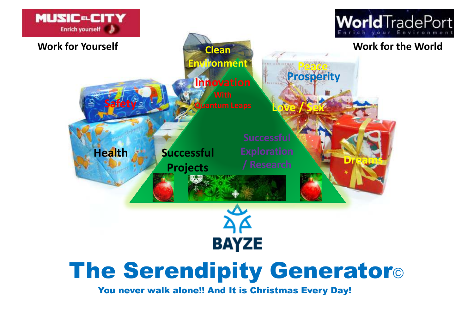

## The Serendipity Generator©

You never walk alone!! And It is Christmas Every Day!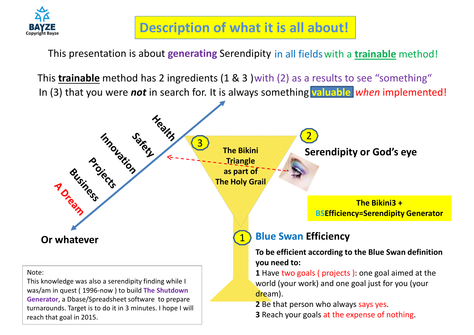

## **Description of what it is all about!**

This presentation is about **generating** Serendipity in all fieldswith a **trainable** method!

This **trainable** method has 2 ingredients (1 & 3 )with (2) as a results to see "something" In (3) that you were *not* in search for. It is always something valuable when implemented!